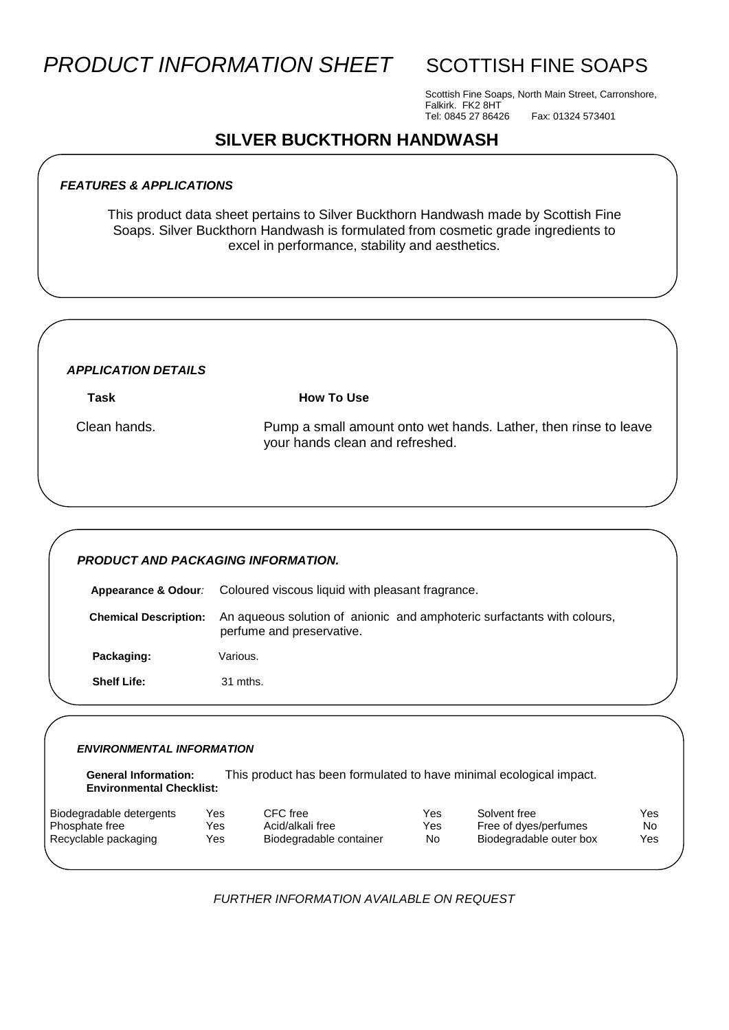# **PRODUCT INFORMATION SHEET** SCOTTISH FINE SOAPS

Scottish Fine Soaps, North Main Street, Carronshore, Falkirk. FK2 8HT Tel: 0845 27 86426 Fax: 01324 573401

### **SILVER BUCKTHORN HANDWASH**

#### *FEATURES & APPLICATIONS*

This product data sheet pertains to Silver Buckthorn Handwash made by Scottish Fine Soaps. Silver Buckthorn Handwash is formulated from cosmetic grade ingredients to excel in performance, stability and aesthetics.

#### *APPLICATION DETAILS*

Task **How To Use** 

Clean hands. **Pump a small amount onto wet hands. Lather, then rinse to leave** your hands clean and refreshed.

#### *PRODUCT AND PACKAGING INFORMATION.*

**Appearance & Odour***:* Coloured viscous liquid with pleasant fragrance.  **Chemical Description:** An aqueous solution of anionic and amphoteric surfactants with colours, perfume and preservative. Packaging: **Various. Shelf Life:** 31 mths.

#### *ENVIRONMENTAL INFORMATION*

 **General Information:** This product has been formulated to have minimal ecological impact.  **Environmental Checklist:**

| Biodegradable detergents | Yes | CFC free                | Yes | Solvent free            | Yes |
|--------------------------|-----|-------------------------|-----|-------------------------|-----|
| Phosphate free           | Yes | Acid/alkali free        | Yes | Free of dyes/perfumes   | No  |
| Recyclable packaging     | Yes | Biodegradable container | No  | Biodegradable outer box | Yes |
|                          |     |                         |     |                         |     |

*FURTHER INFORMATION AVAILABLE ON REQUEST*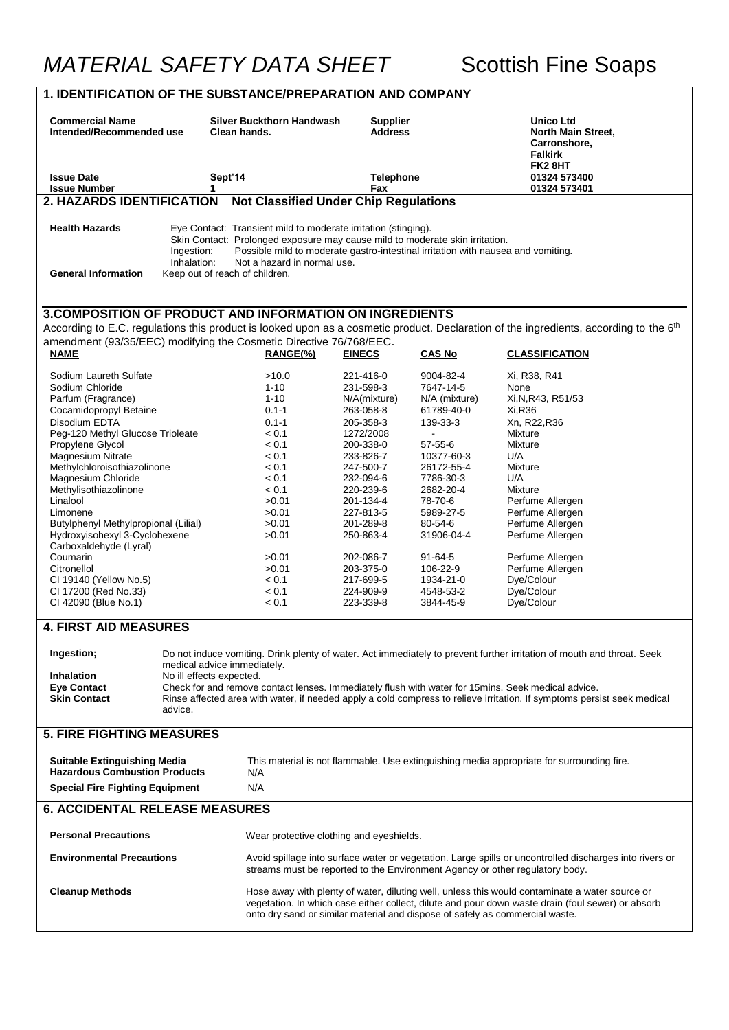## **1. IDENTIFICATION OF THE SUBSTANCE/PREPARATION AND COMPANY**

| <b>Commercial Name</b><br>Intended/Recommended use                          |                                                                                                                                                                                                                                                  | <b>Silver Buckthorn Handwash</b><br><b>Supplier</b><br><b>Address</b><br>Clean hands.                                                                                                                                                                                               |                         |                       | <b>Unico Ltd</b><br>North Main Street,<br>Carronshore,<br><b>Falkirk</b><br>FK28HT                                                                                                      |  |  |  |  |
|-----------------------------------------------------------------------------|--------------------------------------------------------------------------------------------------------------------------------------------------------------------------------------------------------------------------------------------------|-------------------------------------------------------------------------------------------------------------------------------------------------------------------------------------------------------------------------------------------------------------------------------------|-------------------------|-----------------------|-----------------------------------------------------------------------------------------------------------------------------------------------------------------------------------------|--|--|--|--|
| <b>Issue Date</b><br><b>Issue Number</b>                                    | Sept'14<br>1                                                                                                                                                                                                                                     |                                                                                                                                                                                                                                                                                     | <b>Telephone</b><br>Fax |                       | 01324 573400<br>01324 573401                                                                                                                                                            |  |  |  |  |
| 2. HAZARDS IDENTIFICATION                                                   |                                                                                                                                                                                                                                                  | <b>Not Classified Under Chip Regulations</b>                                                                                                                                                                                                                                        |                         |                       |                                                                                                                                                                                         |  |  |  |  |
|                                                                             |                                                                                                                                                                                                                                                  |                                                                                                                                                                                                                                                                                     |                         |                       |                                                                                                                                                                                         |  |  |  |  |
| <b>Health Hazards</b>                                                       | Eye Contact: Transient mild to moderate irritation (stinging).<br>Skin Contact: Prolonged exposure may cause mild to moderate skin irritation.<br>Ingestion:<br>Possible mild to moderate gastro-intestinal irritation with nausea and vomiting. |                                                                                                                                                                                                                                                                                     |                         |                       |                                                                                                                                                                                         |  |  |  |  |
| <b>General Information</b>                                                  | Inhalation:<br>Not a hazard in normal use.<br>Keep out of reach of children.                                                                                                                                                                     |                                                                                                                                                                                                                                                                                     |                         |                       |                                                                                                                                                                                         |  |  |  |  |
|                                                                             |                                                                                                                                                                                                                                                  |                                                                                                                                                                                                                                                                                     |                         |                       |                                                                                                                                                                                         |  |  |  |  |
|                                                                             |                                                                                                                                                                                                                                                  |                                                                                                                                                                                                                                                                                     |                         |                       |                                                                                                                                                                                         |  |  |  |  |
| <b>3. COMPOSITION OF PRODUCT AND INFORMATION ON INGREDIENTS</b>             |                                                                                                                                                                                                                                                  |                                                                                                                                                                                                                                                                                     |                         |                       |                                                                                                                                                                                         |  |  |  |  |
|                                                                             |                                                                                                                                                                                                                                                  |                                                                                                                                                                                                                                                                                     |                         |                       | According to E.C. regulations this product is looked upon as a cosmetic product. Declaration of the ingredients, according to the 6 <sup>th</sup>                                       |  |  |  |  |
| amendment (93/35/EEC) modifying the Cosmetic Directive 76/768/EEC.          |                                                                                                                                                                                                                                                  |                                                                                                                                                                                                                                                                                     |                         |                       |                                                                                                                                                                                         |  |  |  |  |
| <b>NAME</b>                                                                 |                                                                                                                                                                                                                                                  | RANGE(%)                                                                                                                                                                                                                                                                            | <b>EINECS</b>           | <b>CAS No</b>         | <b>CLASSIFICATION</b>                                                                                                                                                                   |  |  |  |  |
|                                                                             |                                                                                                                                                                                                                                                  |                                                                                                                                                                                                                                                                                     |                         |                       |                                                                                                                                                                                         |  |  |  |  |
| Sodium Laureth Sulfate                                                      |                                                                                                                                                                                                                                                  | >10.0                                                                                                                                                                                                                                                                               | 221-416-0               | 9004-82-4             | Xi, R38, R41                                                                                                                                                                            |  |  |  |  |
| Sodium Chloride                                                             |                                                                                                                                                                                                                                                  | $1 - 10$                                                                                                                                                                                                                                                                            | 231-598-3               | 7647-14-5             | None                                                                                                                                                                                    |  |  |  |  |
| Parfum (Fragrance)                                                          |                                                                                                                                                                                                                                                  | $1 - 10$                                                                                                                                                                                                                                                                            | N/A(mixture)            | N/A (mixture)         | Xi, N, R43, R51/53                                                                                                                                                                      |  |  |  |  |
| Cocamidopropyl Betaine                                                      |                                                                                                                                                                                                                                                  | $0.1 - 1$                                                                                                                                                                                                                                                                           | 263-058-8               | 61789-40-0            | Xi, R36                                                                                                                                                                                 |  |  |  |  |
| Disodium EDTA                                                               |                                                                                                                                                                                                                                                  | $0.1 - 1$                                                                                                                                                                                                                                                                           | 205-358-3               | 139-33-3              | Xn, R22, R36                                                                                                                                                                            |  |  |  |  |
| Peg-120 Methyl Glucose Trioleate                                            |                                                                                                                                                                                                                                                  | < 0.1                                                                                                                                                                                                                                                                               | 1272/2008               |                       | Mixture                                                                                                                                                                                 |  |  |  |  |
| Propylene Glycol                                                            |                                                                                                                                                                                                                                                  | < 0.1                                                                                                                                                                                                                                                                               | 200-338-0               | $57 - 55 - 6$         | Mixture                                                                                                                                                                                 |  |  |  |  |
| <b>Magnesium Nitrate</b>                                                    |                                                                                                                                                                                                                                                  | < 0.1                                                                                                                                                                                                                                                                               | 233-826-7               | 10377-60-3            | U/A                                                                                                                                                                                     |  |  |  |  |
| Methylchloroisothiazolinone                                                 |                                                                                                                                                                                                                                                  | < 0.1                                                                                                                                                                                                                                                                               | 247-500-7               | 26172-55-4            | Mixture                                                                                                                                                                                 |  |  |  |  |
| Magnesium Chloride                                                          |                                                                                                                                                                                                                                                  | < 0.1                                                                                                                                                                                                                                                                               | 232-094-6               | 7786-30-3             | U/A                                                                                                                                                                                     |  |  |  |  |
| Methylisothiazolinone<br>Linalool                                           |                                                                                                                                                                                                                                                  | < 0.1                                                                                                                                                                                                                                                                               | 220-239-6               | 2682-20-4             | Mixture                                                                                                                                                                                 |  |  |  |  |
|                                                                             |                                                                                                                                                                                                                                                  | >0.01                                                                                                                                                                                                                                                                               | 201-134-4               | 78-70-6               | Perfume Allergen                                                                                                                                                                        |  |  |  |  |
| Limonene<br>Butylphenyl Methylpropional (Lilial)                            |                                                                                                                                                                                                                                                  | >0.01                                                                                                                                                                                                                                                                               | 227-813-5               | 5989-27-5             | Perfume Allergen<br>Perfume Allergen                                                                                                                                                    |  |  |  |  |
|                                                                             |                                                                                                                                                                                                                                                  | >0.01<br>>0.01                                                                                                                                                                                                                                                                      | 201-289-8<br>250-863-4  | 80-54-6<br>31906-04-4 | Perfume Allergen                                                                                                                                                                        |  |  |  |  |
| Hydroxyisohexyl 3-Cyclohexene<br>Carboxaldehyde (Lyral)                     |                                                                                                                                                                                                                                                  |                                                                                                                                                                                                                                                                                     |                         |                       |                                                                                                                                                                                         |  |  |  |  |
| Coumarin                                                                    |                                                                                                                                                                                                                                                  | >0.01                                                                                                                                                                                                                                                                               | 202-086-7               | $91 - 64 - 5$         | Perfume Allergen                                                                                                                                                                        |  |  |  |  |
| Citronellol                                                                 |                                                                                                                                                                                                                                                  | >0.01                                                                                                                                                                                                                                                                               | 203-375-0               | 106-22-9              | Perfume Allergen                                                                                                                                                                        |  |  |  |  |
| CI 19140 (Yellow No.5)                                                      |                                                                                                                                                                                                                                                  | < 0.1                                                                                                                                                                                                                                                                               | 217-699-5               | 1934-21-0             | Dye/Colour                                                                                                                                                                              |  |  |  |  |
| CI 17200 (Red No.33)                                                        |                                                                                                                                                                                                                                                  | < 0.1                                                                                                                                                                                                                                                                               | 224-909-9               | 4548-53-2             | Dye/Colour                                                                                                                                                                              |  |  |  |  |
| CI 42090 (Blue No.1)                                                        |                                                                                                                                                                                                                                                  | < 0.1                                                                                                                                                                                                                                                                               | 223-339-8               | 3844-45-9             | Dye/Colour                                                                                                                                                                              |  |  |  |  |
|                                                                             |                                                                                                                                                                                                                                                  |                                                                                                                                                                                                                                                                                     |                         |                       |                                                                                                                                                                                         |  |  |  |  |
| <b>4. FIRST AID MEASURES</b>                                                |                                                                                                                                                                                                                                                  |                                                                                                                                                                                                                                                                                     |                         |                       |                                                                                                                                                                                         |  |  |  |  |
|                                                                             |                                                                                                                                                                                                                                                  |                                                                                                                                                                                                                                                                                     |                         |                       |                                                                                                                                                                                         |  |  |  |  |
|                                                                             |                                                                                                                                                                                                                                                  |                                                                                                                                                                                                                                                                                     |                         |                       |                                                                                                                                                                                         |  |  |  |  |
| Ingestion;                                                                  | medical advice immediately.                                                                                                                                                                                                                      |                                                                                                                                                                                                                                                                                     |                         |                       | Do not induce vomiting. Drink plenty of water. Act immediately to prevent further irritation of mouth and throat. Seek                                                                  |  |  |  |  |
| <b>Inhalation</b>                                                           | No ill effects expected.                                                                                                                                                                                                                         |                                                                                                                                                                                                                                                                                     |                         |                       |                                                                                                                                                                                         |  |  |  |  |
| <b>Eye Contact</b>                                                          |                                                                                                                                                                                                                                                  |                                                                                                                                                                                                                                                                                     |                         |                       | Check for and remove contact lenses. Immediately flush with water for 15mins. Seek medical advice.                                                                                      |  |  |  |  |
| <b>Skin Contact</b>                                                         |                                                                                                                                                                                                                                                  |                                                                                                                                                                                                                                                                                     |                         |                       | Rinse affected area with water, if needed apply a cold compress to relieve irritation. If symptoms persist seek medical                                                                 |  |  |  |  |
|                                                                             | advice.                                                                                                                                                                                                                                          |                                                                                                                                                                                                                                                                                     |                         |                       |                                                                                                                                                                                         |  |  |  |  |
|                                                                             |                                                                                                                                                                                                                                                  |                                                                                                                                                                                                                                                                                     |                         |                       |                                                                                                                                                                                         |  |  |  |  |
| <b>5. FIRE FIGHTING MEASURES</b>                                            |                                                                                                                                                                                                                                                  |                                                                                                                                                                                                                                                                                     |                         |                       |                                                                                                                                                                                         |  |  |  |  |
|                                                                             |                                                                                                                                                                                                                                                  |                                                                                                                                                                                                                                                                                     |                         |                       |                                                                                                                                                                                         |  |  |  |  |
| <b>Suitable Extinguishing Media</b><br><b>Hazardous Combustion Products</b> |                                                                                                                                                                                                                                                  |                                                                                                                                                                                                                                                                                     |                         |                       | This material is not flammable. Use extinguishing media appropriate for surrounding fire.                                                                                               |  |  |  |  |
|                                                                             |                                                                                                                                                                                                                                                  | N/A                                                                                                                                                                                                                                                                                 |                         |                       |                                                                                                                                                                                         |  |  |  |  |
| <b>Special Fire Fighting Equipment</b>                                      |                                                                                                                                                                                                                                                  | N/A                                                                                                                                                                                                                                                                                 |                         |                       |                                                                                                                                                                                         |  |  |  |  |
| <b>6. ACCIDENTAL RELEASE MEASURES</b>                                       |                                                                                                                                                                                                                                                  |                                                                                                                                                                                                                                                                                     |                         |                       |                                                                                                                                                                                         |  |  |  |  |
| <b>Personal Precautions</b><br>Wear protective clothing and eyeshields.     |                                                                                                                                                                                                                                                  |                                                                                                                                                                                                                                                                                     |                         |                       |                                                                                                                                                                                         |  |  |  |  |
|                                                                             |                                                                                                                                                                                                                                                  |                                                                                                                                                                                                                                                                                     |                         |                       |                                                                                                                                                                                         |  |  |  |  |
| <b>Environmental Precautions</b>                                            |                                                                                                                                                                                                                                                  |                                                                                                                                                                                                                                                                                     |                         |                       | Avoid spillage into surface water or vegetation. Large spills or uncontrolled discharges into rivers or<br>streams must be reported to the Environment Agency or other regulatory body. |  |  |  |  |
|                                                                             |                                                                                                                                                                                                                                                  |                                                                                                                                                                                                                                                                                     |                         |                       |                                                                                                                                                                                         |  |  |  |  |
| <b>Cleanup Methods</b>                                                      |                                                                                                                                                                                                                                                  | Hose away with plenty of water, diluting well, unless this would contaminate a water source or<br>vegetation. In which case either collect, dilute and pour down waste drain (foul sewer) or absorb<br>onto dry sand or similar material and dispose of safely as commercial waste. |                         |                       |                                                                                                                                                                                         |  |  |  |  |